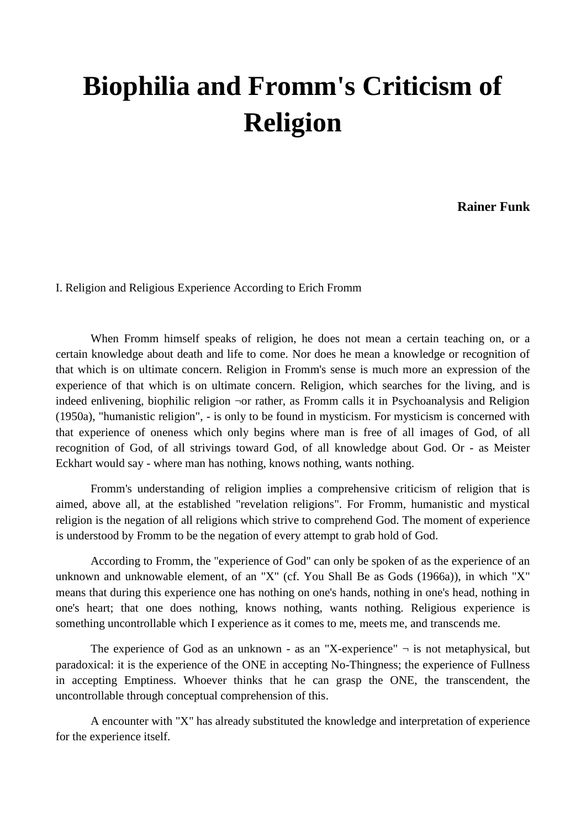# **Biophilia and Fromm's Criticism of Religion**

**Rainer Funk**

I. Religion and Religious Experience According to Erich Fromm

When Fromm himself speaks of religion, he does not mean a certain teaching on, or a certain knowledge about death and life to come. Nor does he mean a knowledge or recognition of that which is on ultimate concern. Religion in Fromm's sense is much more an expression of the experience of that which is on ultimate concern. Religion, which searches for the living, and is indeed enlivening, biophilic religion ¬or rather, as Fromm calls it in Psychoanalysis and Religion (1950a), "humanistic religion", - is only to be found in mysticism. For mysticism is concerned with that experience of oneness which only begins where man is free of all images of God, of all recognition of God, of all strivings toward God, of all knowledge about God. Or - as Meister Eckhart would say - where man has nothing, knows nothing, wants nothing.

Fromm's understanding of religion implies a comprehensive criticism of religion that is aimed, above all, at the established "revelation religions". For Fromm, humanistic and mystical religion is the negation of all religions which strive to comprehend God. The moment of experience is understood by Fromm to be the negation of every attempt to grab hold of God.

According to Fromm, the "experience of God" can only be spoken of as the experience of an unknown and unknowable element, of an "X" (cf. You Shall Be as Gods (1966a)), in which "X" means that during this experience one has nothing on one's hands, nothing in one's head, nothing in one's heart; that one does nothing, knows nothing, wants nothing. Religious experience is something uncontrollable which I experience as it comes to me, meets me, and transcends me.

The experience of God as an unknown - as an "X-experience"  $\neg$  is not metaphysical, but paradoxical: it is the experience of the ONE in accepting No-Thingness; the experience of Fullness in accepting Emptiness. Whoever thinks that he can grasp the ONE, the transcendent, the uncontrollable through conceptual comprehension of this.

A encounter with "X" has already substituted the knowledge and interpretation of experience for the experience itself.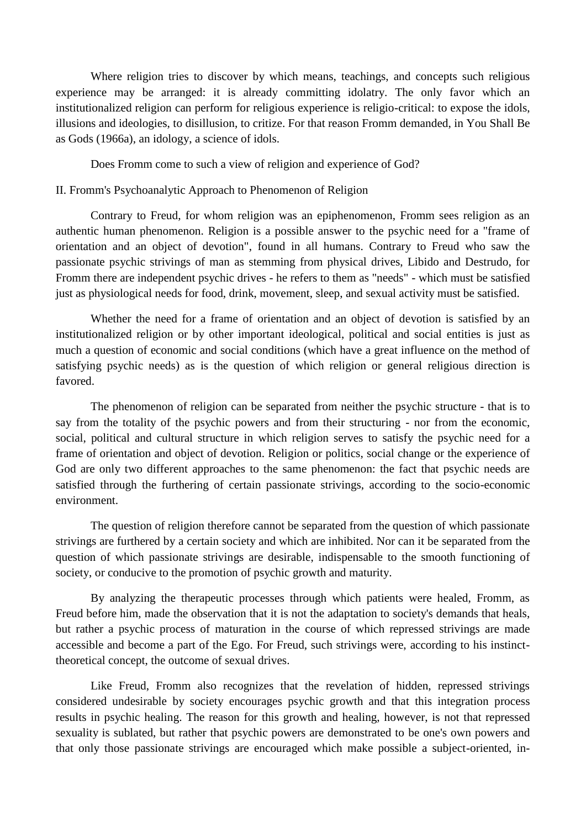Where religion tries to discover by which means, teachings, and concepts such religious experience may be arranged: it is already committing idolatry. The only favor which an institutionalized religion can perform for religious experience is religio-critical: to expose the idols, illusions and ideologies, to disillusion, to critize. For that reason Fromm demanded, in You Shall Be as Gods (1966a), an idology, a science of idols.

Does Fromm come to such a view of religion and experience of God?

### II. Fromm's Psychoanalytic Approach to Phenomenon of Religion

Contrary to Freud, for whom religion was an epiphenomenon, Fromm sees religion as an authentic human phenomenon. Religion is a possible answer to the psychic need for a "frame of orientation and an object of devotion", found in all humans. Contrary to Freud who saw the passionate psychic strivings of man as stemming from physical drives, Libido and Destrudo, for Fromm there are independent psychic drives - he refers to them as "needs" - which must be satisfied just as physiological needs for food, drink, movement, sleep, and sexual activity must be satisfied.

Whether the need for a frame of orientation and an object of devotion is satisfied by an institutionalized religion or by other important ideological, political and social entities is just as much a question of economic and social conditions (which have a great influence on the method of satisfying psychic needs) as is the question of which religion or general religious direction is favored.

The phenomenon of religion can be separated from neither the psychic structure - that is to say from the totality of the psychic powers and from their structuring - nor from the economic, social, political and cultural structure in which religion serves to satisfy the psychic need for a frame of orientation and object of devotion. Religion or politics, social change or the experience of God are only two different approaches to the same phenomenon: the fact that psychic needs are satisfied through the furthering of certain passionate strivings, according to the socio-economic environment.

The question of religion therefore cannot be separated from the question of which passionate strivings are furthered by a certain society and which are inhibited. Nor can it be separated from the question of which passionate strivings are desirable, indispensable to the smooth functioning of society, or conducive to the promotion of psychic growth and maturity.

By analyzing the therapeutic processes through which patients were healed, Fromm, as Freud before him, made the observation that it is not the adaptation to society's demands that heals, but rather a psychic process of maturation in the course of which repressed strivings are made accessible and become a part of the Ego. For Freud, such strivings were, according to his instincttheoretical concept, the outcome of sexual drives.

Like Freud, Fromm also recognizes that the revelation of hidden, repressed strivings considered undesirable by society encourages psychic growth and that this integration process results in psychic healing. The reason for this growth and healing, however, is not that repressed sexuality is sublated, but rather that psychic powers are demonstrated to be one's own powers and that only those passionate strivings are encouraged which make possible a subject-oriented, in-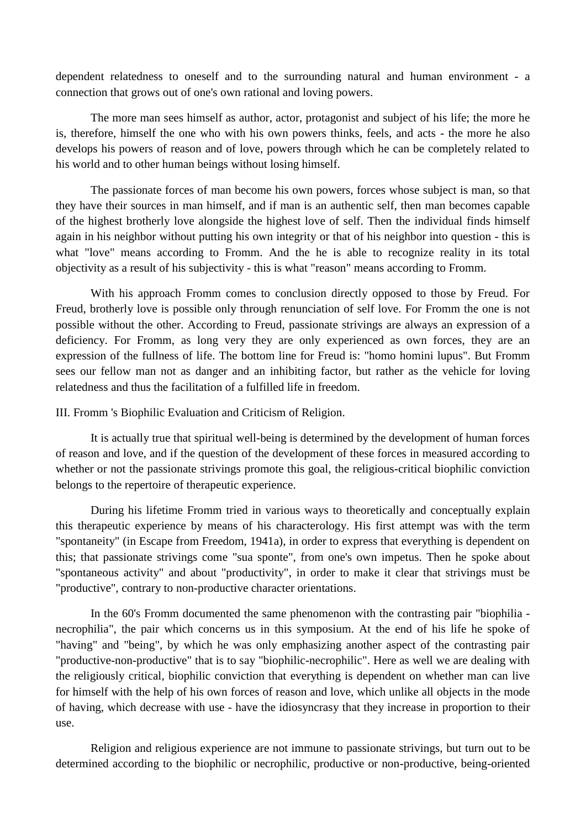dependent relatedness to oneself and to the surrounding natural and human environment - a connection that grows out of one's own rational and loving powers.

The more man sees himself as author, actor, protagonist and subject of his life; the more he is, therefore, himself the one who with his own powers thinks, feels, and acts - the more he also develops his powers of reason and of love, powers through which he can be completely related to his world and to other human beings without losing himself.

The passionate forces of man become his own powers, forces whose subject is man, so that they have their sources in man himself, and if man is an authentic self, then man becomes capable of the highest brotherly love alongside the highest love of self. Then the individual finds himself again in his neighbor without putting his own integrity or that of his neighbor into question - this is what "love" means according to Fromm. And the he is able to recognize reality in its total objectivity as a result of his subjectivity - this is what "reason" means according to Fromm.

With his approach Fromm comes to conclusion directly opposed to those by Freud. For Freud, brotherly love is possible only through renunciation of self love. For Fromm the one is not possible without the other. According to Freud, passionate strivings are always an expression of a deficiency. For Fromm, as long very they are only experienced as own forces, they are an expression of the fullness of life. The bottom line for Freud is: "homo homini lupus". But Fromm sees our fellow man not as danger and an inhibiting factor, but rather as the vehicle for loving relatedness and thus the facilitation of a fulfilled life in freedom.

#### III. Fromm 's Biophilic Evaluation and Criticism of Religion.

It is actually true that spiritual well-being is determined by the development of human forces of reason and love, and if the question of the development of these forces in measured according to whether or not the passionate strivings promote this goal, the religious-critical biophilic conviction belongs to the repertoire of therapeutic experience.

During his lifetime Fromm tried in various ways to theoretically and conceptually explain this therapeutic experience by means of his characterology. His first attempt was with the term "spontaneity" (in Escape from Freedom, 1941a), in order to express that everything is dependent on this; that passionate strivings come "sua sponte", from one's own impetus. Then he spoke about "spontaneous activity" and about "productivity", in order to make it clear that strivings must be "productive", contrary to non-productive character orientations.

In the 60's Fromm documented the same phenomenon with the contrasting pair "biophilia necrophilia", the pair which concerns us in this symposium. At the end of his life he spoke of "having" and "being", by which he was only emphasizing another aspect of the contrasting pair "productive-non-productive" that is to say "biophilic-necrophilic". Here as well we are dealing with the religiously critical, biophilic conviction that everything is dependent on whether man can live for himself with the help of his own forces of reason and love, which unlike all objects in the mode of having, which decrease with use - have the idiosyncrasy that they increase in proportion to their use.

Religion and religious experience are not immune to passionate strivings, but turn out to be determined according to the biophilic or necrophilic, productive or non-productive, being-oriented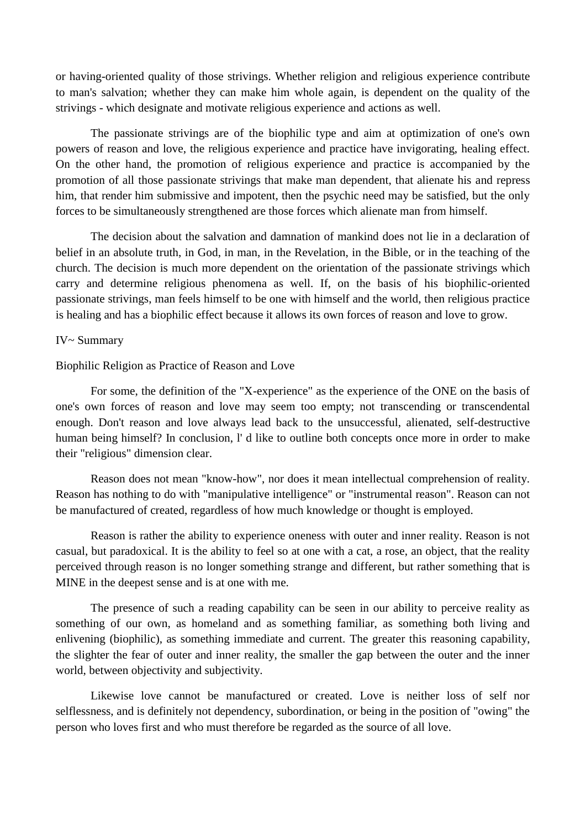or having-oriented quality of those strivings. Whether religion and religious experience contribute to man's salvation; whether they can make him whole again, is dependent on the quality of the strivings - which designate and motivate religious experience and actions as well.

The passionate strivings are of the biophilic type and aim at optimization of one's own powers of reason and love, the religious experience and practice have invigorating, healing effect. On the other hand, the promotion of religious experience and practice is accompanied by the promotion of all those passionate strivings that make man dependent, that alienate his and repress him, that render him submissive and impotent, then the psychic need may be satisfied, but the only forces to be simultaneously strengthened are those forces which alienate man from himself.

The decision about the salvation and damnation of mankind does not lie in a declaration of belief in an absolute truth, in God, in man, in the Revelation, in the Bible, or in the teaching of the church. The decision is much more dependent on the orientation of the passionate strivings which carry and determine religious phenomena as well. If, on the basis of his biophilic-oriented passionate strivings, man feels himself to be one with himself and the world, then religious practice is healing and has a biophilic effect because it allows its own forces of reason and love to grow.

## IV~ Summary

#### Biophilic Religion as Practice of Reason and Love

For some, the definition of the "X-experience" as the experience of the ONE on the basis of one's own forces of reason and love may seem too empty; not transcending or transcendental enough. Don't reason and love always lead back to the unsuccessful, alienated, self-destructive human being himself? In conclusion, l' d like to outline both concepts once more in order to make their "religious" dimension clear.

Reason does not mean "know-how", nor does it mean intellectual comprehension of reality. Reason has nothing to do with "manipulative intelligence" or "instrumental reason". Reason can not be manufactured of created, regardless of how much knowledge or thought is employed.

Reason is rather the ability to experience oneness with outer and inner reality. Reason is not casual, but paradoxical. It is the ability to feel so at one with a cat, a rose, an object, that the reality perceived through reason is no longer something strange and different, but rather something that is MINE in the deepest sense and is at one with me.

The presence of such a reading capability can be seen in our ability to perceive reality as something of our own, as homeland and as something familiar, as something both living and enlivening (biophilic), as something immediate and current. The greater this reasoning capability, the slighter the fear of outer and inner reality, the smaller the gap between the outer and the inner world, between objectivity and subjectivity.

Likewise love cannot be manufactured or created. Love is neither loss of self nor selflessness, and is definitely not dependency, subordination, or being in the position of "owing" the person who loves first and who must therefore be regarded as the source of all love.